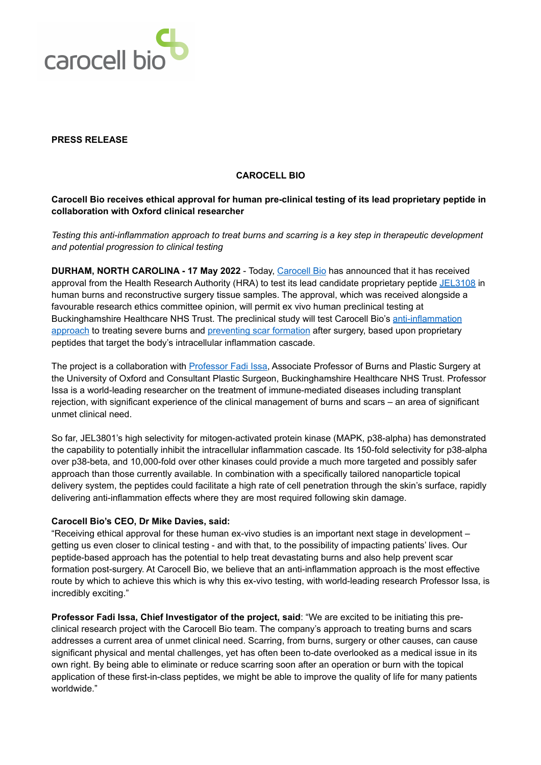

### **PRESS RELEASE**

#### **CAROCELL BIO**

# **Carocell Bio receives ethical approval for human pre-clinical testing of its lead proprietary peptide in collaboration with Oxford clinical researcher**

*Testing this anti-inflammation approach to treat burns and scarring is a key step in therapeutic development and potential progression to clinical testing*

**DURHAM, NORTH CAROLINA - 17 May 2022** - Today, [Carocell Bio](https://www.carocellbio.com/) has announced that it has received approval from the Health Research Authority (HRA) to test its lead candidate proprietary peptide [JEL3108](https://carocellbio.com/therapeutic-pipeline/) in human burns and reconstructive surgery tissue samples. The approval, which was received alongside a favourable research ethics committee opinion, will permit ex vivo human preclinical testing at Buckinghamshire Healthcare NHS Trust. The preclinical study will test Carocell Bio's [anti-inflammation](https://carocellbio.com/research/)  [approach](https://carocellbio.com/research/) to treating severe burns and [preventing scar formation](https://carocellbio.com/therapy-areas/scar-prevention/) after surgery, based upon proprietary peptides that target the body's intracellular inflammation cascade.

The project is a collaboration with [Professor Fadi Issa](https://www.nds.ox.ac.uk/team/fadi-issa), Associate Professor of Burns and Plastic Surgery at the University of Oxford and Consultant Plastic Surgeon, Buckinghamshire Healthcare NHS Trust. Professor Issa is a world-leading researcher on the treatment of immune-mediated diseases including transplant rejection, with significant experience of the clinical management of burns and scars – an area of significant unmet clinical need.

So far, JEL3801's high selectivity for mitogen-activated protein kinase (MAPK, p38-alpha) has demonstrated the capability to potentially inhibit the intracellular inflammation cascade. Its 150-fold selectivity for p38-alpha over p38-beta, and 10,000-fold over other kinases could provide a much more targeted and possibly safer approach than those currently available. In combination with a specifically tailored nanoparticle topical delivery system, the peptides could facilitate a high rate of cell penetration through the skin's surface, rapidly delivering anti-inflammation effects where they are most required following skin damage.

### **Carocell Bio's CEO, Dr Mike Davies, said:**

"Receiving ethical approval for these human ex-vivo studies is an important next stage in development – getting us even closer to clinical testing - and with that, to the possibility of impacting patients' lives. Our peptide-based approach has the potential to help treat devastating burns and also help prevent scar formation post-surgery. At Carocell Bio, we believe that an anti-inflammation approach is the most effective route by which to achieve this which is why this ex-vivo testing, with world-leading research Professor Issa, is incredibly exciting."

**Professor Fadi Issa, Chief Investigator of the project, said**: "We are excited to be initiating this preclinical research project with the Carocell Bio team. The company's approach to treating burns and scars addresses a current area of unmet clinical need. Scarring, from burns, surgery or other causes, can cause significant physical and mental challenges, yet has often been to-date overlooked as a medical issue in its own right. By being able to eliminate or reduce scarring soon after an operation or burn with the topical application of these first-in-class peptides, we might be able to improve the quality of life for many patients worldwide."